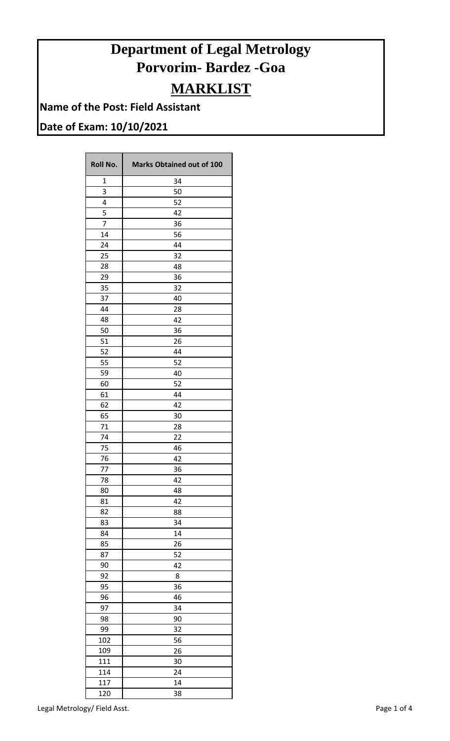## **Department of Legal Metrology Porvorim- Bardez -Goa MARKLIST**

**Name of the Post: Field Assistant**

## **Date of Exam: 10/10/2021**

| <b>Roll No.</b> | <b>Marks Obtained out of 100</b> |
|-----------------|----------------------------------|
| 1               | 34                               |
| 3               | 50                               |
| 4               | 52                               |
| 5               | 42                               |
| $\overline{7}$  | 36                               |
| 14              | 56                               |
| 24              | 44                               |
| 25              | 32                               |
| 28              | 48                               |
| 29              | 36                               |
| 35              | 32                               |
| 37              | 40                               |
| 44              | 28                               |
| 48              | 42                               |
| 50              | 36                               |
| 51              | 26                               |
| 52              | 44                               |
| 55              | 52                               |
| 59              | 40                               |
|                 |                                  |
| 60              | 52                               |
| 61              | 44                               |
| 62              | 42                               |
| 65              | 30                               |
| 71              | 28                               |
| 74              | 22                               |
| 75              | 46                               |
| 76              | 42                               |
| 77              | 36                               |
| 78              | 42                               |
| 80              | 48                               |
| 81              | 42                               |
| 82              | 88                               |
| 83              | 34                               |
| 84              | 14                               |
| 85              | 26                               |
| 87              | 52                               |
| 90              | 42                               |
| 92              | 8                                |
| 95              | 36                               |
| 96              | 46                               |
| 97              | 34                               |
| 98              | 90                               |
| 99              | 32                               |
| 102             | 56                               |
| 109             | 26                               |
| 111             | 30                               |
| 114             | 24                               |
| 117             | 14                               |
| 120             | 38                               |

Legal Metrology/ Field Asst. And The Second Second Second Second Page 1 of 4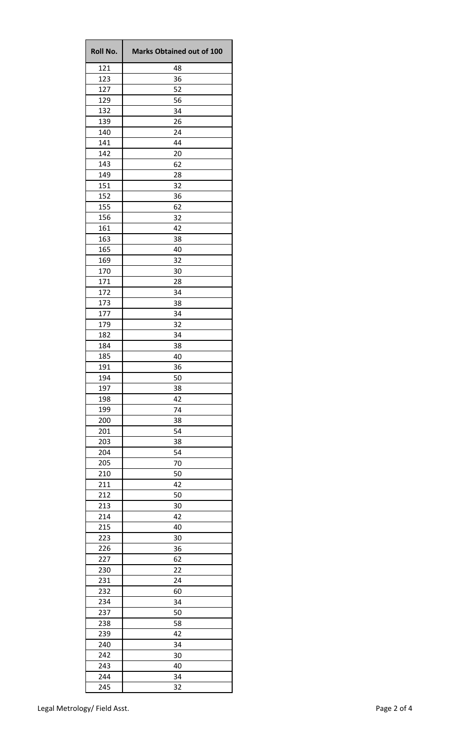| <b>Roll No.</b> | <b>Marks Obtained out of 100</b> |
|-----------------|----------------------------------|
| 121             | 48                               |
| 123             | 36                               |
| 127             | 52                               |
| 129             | 56                               |
| 132             | 34                               |
| 139             | 26                               |
| 140             | 24                               |
| 141             | 44                               |
| 142             | 20                               |
| 143             | 62                               |
| 149             | 28                               |
| 151             | 32                               |
| 152             | 36                               |
| 155             | 62                               |
| 156             | 32                               |
| 161             | 42                               |
| 163             | 38                               |
| 165             | 40                               |
| 169             | 32                               |
| 170             | 30                               |
| 171             | 28                               |
| 172             | 34                               |
| 173             | 38                               |
| 177             | 34                               |
| 179             | 32                               |
| 182             | 34                               |
| 184             | 38                               |
| 185             | 40                               |
| 191             | 36                               |
| 194             | 50                               |
| 197             | 38                               |
| 198             | 42                               |
| 199             | 74                               |
| 200             | 38                               |
| 201             | 54                               |
| 203             | 38                               |
| 204             | 54                               |
| 205             | 70                               |
| 210             | 50                               |
| 211             | 42                               |
| 212             | 50                               |
| 213             | 30                               |
| 214             | 42                               |
| 215             | 40                               |
| 223             | 30                               |
| 226             | 36                               |
| 227             | 62                               |
| 230             | 22                               |
| 231             | 24                               |
| 232             | 60                               |
| 234             | 34                               |
| 237             | 50                               |
| 238             | 58                               |
| 239             | 42                               |
| 240             | 34                               |
| 242             | 30                               |
| 243             | 40                               |
| 244             | 34                               |
| 245             | 32                               |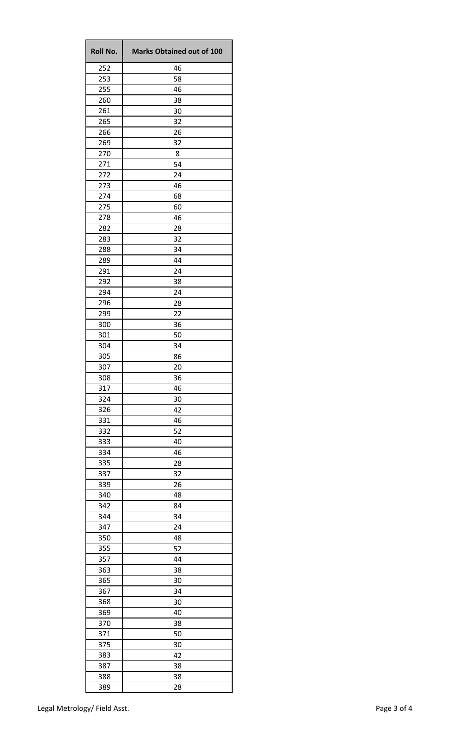| <b>Roll No.</b> | <b>Marks Obtained out of 100</b> |
|-----------------|----------------------------------|
| 252             | 46                               |
| 253             | 58                               |
| 255             | 46                               |
| 260             | 38                               |
| 261             | 30                               |
| 265             | 32                               |
| 266             | 26                               |
| 269             | 32                               |
| 270             | 8                                |
| 271             | 54                               |
| 272             | 24                               |
| 273             | 46                               |
| 274             | 68                               |
| 275             | 60                               |
| 278             | 46                               |
| 282             | 28                               |
| 283             | 32                               |
| 288             | 34                               |
| 289             | 44                               |
| 291             | 24                               |
| 292             | 38                               |
| 294             | 24                               |
| 296             | 28                               |
| 299             | 22                               |
| 300             | 36                               |
| 301             | 50                               |
| 304             | 34                               |
| 305             | 86                               |
| 307             | 20                               |
| 308             | 36                               |
| 317             | 46                               |
| 324             | 30                               |
| 326             | 42                               |
| 331             | 46                               |
| 332             | 52                               |
| 333             | 40                               |
| 334             | 46                               |
| 335             | 28                               |
| 337             | 32                               |
| 339             | 26                               |
| 340             | 48                               |
| 342             | 84                               |
| 344             | 34                               |
| 347             | 24                               |
| 350             | 48                               |
| 355             | 52                               |
| 357             | 44                               |
|                 | 38                               |
| 363             | 30                               |
| 365             |                                  |
| 367             | 34                               |
| 368             | 30                               |
| 369             | 40                               |
| 370             | 38                               |
| 371             | 50                               |
| 375             | 30                               |
| 383             | 42                               |
| 387             | 38                               |
| 388             | 38                               |
| 389             | 28                               |